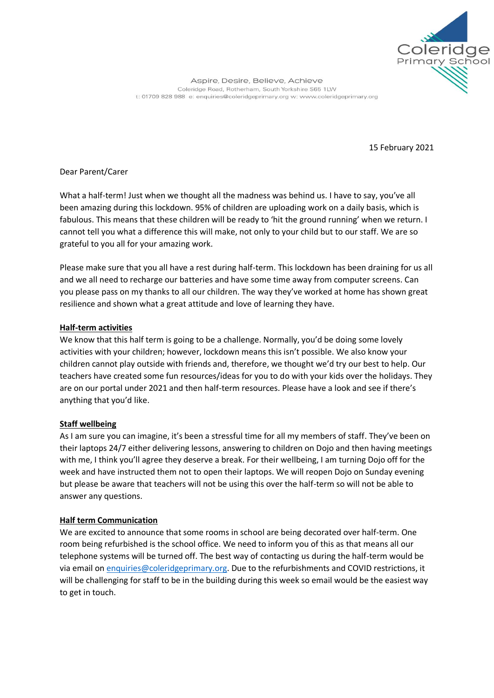

Aspire, Desire, Believe, Achieve Coleridge Road, Rotherham, South Yorkshire S65 1LW t: 01709 828 988 e: enquiries@coleridgeprimary.org w: www.coleridgeprimary.org

15 February 2021

Dear Parent/Carer

What a half-term! Just when we thought all the madness was behind us. I have to say, you've all been amazing during this lockdown. 95% of children are uploading work on a daily basis, which is fabulous. This means that these children will be ready to 'hit the ground running' when we return. I cannot tell you what a difference this will make, not only to your child but to our staff. We are so grateful to you all for your amazing work.

Please make sure that you all have a rest during half-term. This lockdown has been draining for us all and we all need to recharge our batteries and have some time away from computer screens. Can you please pass on my thanks to all our children. The way they've worked at home has shown great resilience and shown what a great attitude and love of learning they have.

## **Half-term activities**

We know that this half term is going to be a challenge. Normally, you'd be doing some lovely activities with your children; however, lockdown means this isn't possible. We also know your children cannot play outside with friends and, therefore, we thought we'd try our best to help. Our teachers have created some fun resources/ideas for you to do with your kids over the holidays. They are on our portal under 2021 and then half-term resources. Please have a look and see if there's anything that you'd like.

## **Staff wellbeing**

As I am sure you can imagine, it's been a stressful time for all my members of staff. They've been on their laptops 24/7 either delivering lessons, answering to children on Dojo and then having meetings with me, I think you'll agree they deserve a break. For their wellbeing, I am turning Dojo off for the week and have instructed them not to open their laptops. We will reopen Dojo on Sunday evening but please be aware that teachers will not be using this over the half-term so will not be able to answer any questions.

## **Half term Communication**

We are excited to announce that some rooms in school are being decorated over half-term. One room being refurbished is the school office. We need to inform you of this as that means all our telephone systems will be turned off. The best way of contacting us during the half-term would be via email o[n enquiries@coleridgeprimary.org.](mailto:enquiries@coleridgeprimary.org) Due to the refurbishments and COVID restrictions, it will be challenging for staff to be in the building during this week so email would be the easiest way to get in touch.